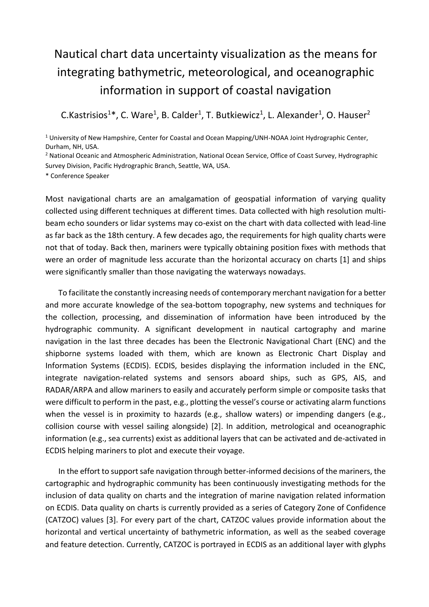## Nautical chart data uncertainty visualization as the means for integrating bathymetric, meteorological, and oceanographic information in support of coastal navigation

C.Kastrisios<sup>1\*</sup>, C. Ware<sup>1</sup>, B. Calder<sup>1</sup>, T. Butkiewicz<sup>1</sup>, L. Alexander<sup>1</sup>, O. Hauser<sup>2</sup>

<sup>1</sup> University of New Hampshire, Center for Coastal and Ocean Mapping/UNH-NOAA Joint Hydrographic Center, Durham, NH, USA.

<sup>2</sup> National Oceanic and Atmospheric Administration, National Ocean Service, Office of Coast Survey, Hydrographic Survey Division, Pacific Hydrographic Branch, Seattle, WA, USA.

\* Conference Speaker

Most navigational charts are an amalgamation of geospatial information of varying quality collected using different techniques at different times. Data collected with high resolution multibeam echo sounders or lidar systems may co-exist on the chart with data collected with lead-line as far back as the 18th century. A few decades ago, the requirements for high quality charts were not that of today. Back then, mariners were typically obtaining position fixes with methods that were an order of magnitude less accurate than the horizontal accuracy on charts [1] and ships were significantly smaller than those navigating the waterways nowadays.

To facilitate the constantly increasing needs of contemporary merchant navigation for a better and more accurate knowledge of the sea-bottom topography, new systems and techniques for the collection, processing, and dissemination of information have been introduced by the hydrographic community. A significant development in nautical cartography and marine navigation in the last three decades has been the Electronic Navigational Chart (ENC) and the shipborne systems loaded with them, which are known as Electronic Chart Display and Information Systems (ECDIS). ECDIS, besides displaying the information included in the ENC, integrate navigation-related systems and sensors aboard ships, such as GPS, AIS, and RADAR/ARPA and allow mariners to easily and accurately perform simple or composite tasks that were difficult to perform in the past, e.g., plotting the vessel's course or activating alarm functions when the vessel is in proximity to hazards (e.g., shallow waters) or impending dangers (e.g., collision course with vessel sailing alongside) [2]. In addition, metrological and oceanographic information (e.g., sea currents) exist as additional layers that can be activated and de-activated in ECDIS helping mariners to plot and execute their voyage.

In the effort to support safe navigation through better-informed decisions of the mariners, the cartographic and hydrographic community has been continuously investigating methods for the inclusion of data quality on charts and the integration of marine navigation related information on ECDIS. Data quality on charts is currently provided as a series of Category Zone of Confidence (CATZOC) values [3]. For every part of the chart, CATZOC values provide information about the horizontal and vertical uncertainty of bathymetric information, as well as the seabed coverage and feature detection. Currently, CATZOC is portrayed in ECDIS as an additional layer with glyphs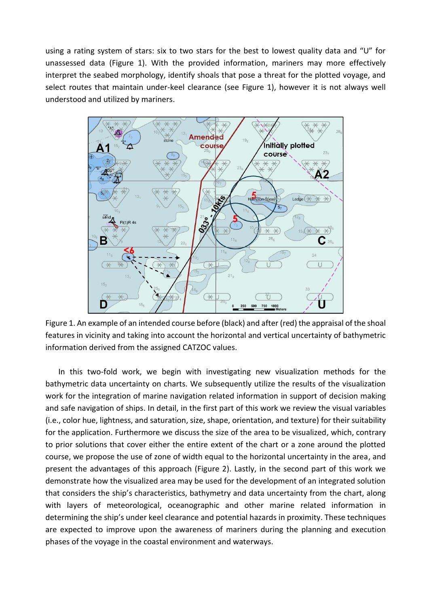using a rating system of stars: six to two stars for the best to lowest quality data and "U" for unassessed data (Figure 1). With the provided information, mariners may more effectively interpret the seabed morphology, identify shoals that pose a threat for the plotted voyage, and select routes that maintain under-keel clearance (see Figure 1), however it is not always well understood and utilized by mariners.



Figure 1. An example of an intended course before (black) and after (red) the appraisal of the shoal features in vicinity and taking into account the horizontal and vertical uncertainty of bathymetric information derived from the assigned CATZOC values.

In this two-fold work, we begin with investigating new visualization methods for the bathymetric data uncertainty on charts. We subsequently utilize the results of the visualization work for the integration of marine navigation related information in support of decision making and safe navigation of ships. In detail, in the first part of this work we review the visual variables (i.e., color hue, lightness, and saturation, size, shape, orientation, and texture) for their suitability for the application. Furthermore we discuss the size of the area to be visualized, which, contrary to prior solutions that cover either the entire extent of the chart or a zone around the plotted course, we propose the use of zone of width equal to the horizontal uncertainty in the area, and present the advantages of this approach (Figure 2). Lastly, in the second part of this work we demonstrate how the visualized area may be used for the development of an integrated solution that considers the ship's characteristics, bathymetry and data uncertainty from the chart, along with layers of meteorological, oceanographic and other marine related information in determining the ship's under keel clearance and potential hazards in proximity. These techniques are expected to improve upon the awareness of mariners during the planning and execution phases of the voyage in the coastal environment and waterways.